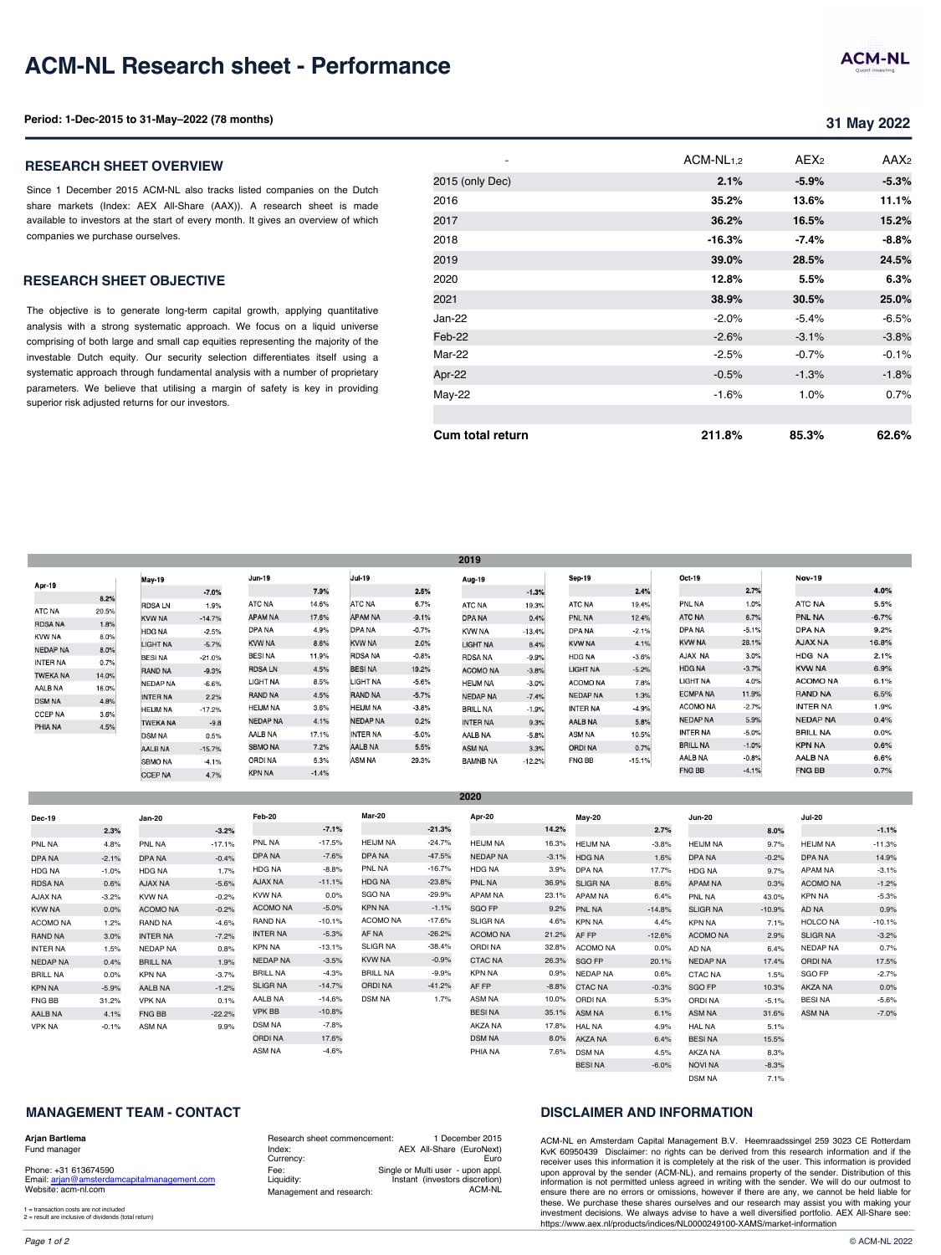#### **RESEARCH SHEET OBJECTIVE**

The objective is to generate long-term capital growth, applying quantitative analysis with a strong systematic approach. We focus on a liquid universe comprising of both large and small cap equities representing the majority of the investable Dutch equity. Our security selection differentiates itself using a systematic approach through fundamental analysis with a number of proprietary parameters. We believe that utilising a margin of safety is key in providing superior risk adjusted returns for our investors.

|                 |       |                 |          |                 |         |                 |         | 2019            |          |                 |          |                 |                |
|-----------------|-------|-----------------|----------|-----------------|---------|-----------------|---------|-----------------|----------|-----------------|----------|-----------------|----------------|
| Apr-19          |       | May-19          |          | Jun-19          |         | Jul-19          |         | Aug-19          |          | Sep-19          |          | Oct-19          |                |
|                 | 8.2%  |                 | $-7.0%$  |                 | 7.9%    |                 | 2.5%    |                 | $-1.3%$  |                 | 2.4%     |                 | 2.             |
| <b>ATC NA</b>   | 20.5% | <b>RDSALN</b>   | 1.9%     | ATC NA          | 14.6%   | <b>ATC NA</b>   | 6.7%    | ATC NA          | 19.3%    | <b>ATC NA</b>   | 19.4%    | <b>PNL NA</b>   | 11             |
|                 |       | <b>KVW NA</b>   | $-14.7%$ | <b>APAM NA</b>  | 17.6%   | <b>APAM NA</b>  | $-9.1%$ | <b>DPA NA</b>   | 0.4%     | <b>PNL NA</b>   | 12.4%    | ATC NA          | 6.             |
| <b>RDSA NA</b>  | 1.8%  | HDG NA          | $-2.5%$  | DPA NA          | 4.9%    | DPA NA          | $-0.7%$ | <b>KVW NA</b>   | $-13.4%$ | DPA NA          | $-2.1%$  | <b>DPA NA</b>   | $-5.$          |
| <b>KVW NA</b>   | 8.0%  | LIGHT NA        | $-5.7%$  | KVW NA          | 8.6%    | <b>KVW NA</b>   | 2.0%    | <b>LIGHT NA</b> | 8.4%     | <b>KVW NA</b>   | 4.1%     | <b>KVW NA</b>   | 28.            |
| <b>NEDAP NA</b> | 8.0%  | <b>BESINA</b>   | $-21.0%$ | <b>BESINA</b>   | 11.9%   | <b>RDSA NA</b>  | $-0.8%$ | <b>RDSA NA</b>  | $-9.9%$  | <b>HDG NA</b>   | $-3.6%$  | AJAX NA         | 3.             |
| <b>INTER NA</b> | 0.7%  | RAND NA         | $-9.3%$  | <b>RDSALN</b>   | 4.5%    | <b>BESINA</b>   | 19.2%   | <b>ACOMO NA</b> | $-3.8%$  | <b>LIGHT NA</b> | $-5.2%$  | <b>HDG NA</b>   | $-3.$          |
| <b>TWEKA NA</b> | 14.0% | <b>NEDAP NA</b> | $-6.6%$  | LIGHT NA        | 8.5%    | LIGHT NA        | $-5.6%$ | <b>HEIJM NA</b> | $-3.0%$  | <b>ACOMO NA</b> | 7.8%     | LIGHT NA        | 4 <sub>1</sub> |
| AALB NA         | 16.0% |                 |          | <b>RAND NA</b>  | 4.5%    | <b>RAND NA</b>  | $-5.7%$ | <b>NEDAP NA</b> |          | <b>NEDAP NA</b> | 1.3%     | <b>ECMPA NA</b> | 11.            |
| <b>DSM NA</b>   | 4.8%  | <b>INTER NA</b> | 2.2%     | <b>HEIJM NA</b> | 3.6%    | <b>HEIJM NA</b> | $-3.8%$ |                 | $-7.4%$  |                 |          | <b>ACOMO NA</b> | $-2$           |
| <b>CCEP NA</b>  | 3.6%  | <b>HEIJM NA</b> | $-17.2%$ |                 |         |                 |         | <b>BRILL NA</b> | $-1.9%$  | <b>INTER NA</b> | $-4.9%$  |                 |                |
| PHIA NA         | 4.5%  | <b>TWEKA NA</b> | $-9.8$   | <b>NEDAP NA</b> | 4.1%    | <b>NEDAP NA</b> | 0.2%    | <b>INTER NA</b> | 9.3%     | <b>AALB NA</b>  | 5.8%     | <b>NEDAP NA</b> | 5.             |
|                 |       | <b>DSM NA</b>   | 0.5%     | AALB NA         | 17.1%   | <b>INTER NA</b> | $-5.0%$ | AALB NA         | $-5.8%$  | <b>ASM NA</b>   | 10.5%    | <b>INTER NA</b> | $-5.$          |
|                 |       | AALB NA         | $-15.7%$ | <b>SBMO NA</b>  | 7.2%    | AALB NA         | 5.5%    | <b>ASM NA</b>   | 3.3%     | <b>ORDINA</b>   | 0.7%     | <b>BRILL NA</b> | $-1.$          |
|                 |       | <b>SBMO NA</b>  | $-4.1%$  | ORDI NA         | 5.3%    | ASM NA          | 29.3%   | <b>BAMNB NA</b> | $-12.2%$ | <b>FNG BB</b>   | $-15.1%$ | <b>AALB NA</b>  | $-0.$          |
|                 |       | <b>CCEP NA</b>  | 4.7%     | KPN NA          | $-1.4%$ |                 |         |                 |          |                 |          | <b>FNG BB</b>   | $-4.$          |

**2020**

| Dec-19          |         | Jan-20          |          | Feb-20          |          | <b>Mar-20</b>   |          | Apr-20          |         | May-20          |          | <b>Jun-20</b>   |
|-----------------|---------|-----------------|----------|-----------------|----------|-----------------|----------|-----------------|---------|-----------------|----------|-----------------|
|                 | 2.3%    |                 | $-3.2%$  |                 | $-7.1%$  |                 | $-21.3%$ |                 | 14.2%   |                 | 2.7%     |                 |
| PNL NA          | 4.8%    | PNL NA          | $-17.1%$ | PNL NA          | $-17.5%$ | <b>HEIJM NA</b> | $-24.7%$ | <b>HEIJM NA</b> | 16.3%   | <b>HEIJM NA</b> | $-3.8%$  | <b>HEIJM NA</b> |
| DPA NA          | $-2.1%$ | <b>DPA NA</b>   | $-0.4%$  | DPA NA          | $-7.6%$  | DPA NA          | $-47.5%$ | <b>NEDAP NA</b> | $-3.1%$ | <b>HDG NA</b>   | 1.6%     | DPA NA          |
| HDG NA          | $-1.0%$ | <b>HDG NA</b>   | 1.7%     | <b>HDG NA</b>   | $-8.8%$  | PNL NA          | $-16.7%$ | <b>HDG NA</b>   | 3.9%    | DPA NA          | 17.7%    | <b>HDG NA</b>   |
| <b>RDSA NA</b>  | 0.6%    | <b>AJAX NA</b>  | $-5.6%$  | <b>AJAX NA</b>  | $-11.1%$ | <b>HDG NA</b>   | $-23.8%$ | PNL NA          | 36.9%   | <b>SLIGR NA</b> | 8.6%     | <b>APAM NA</b>  |
| AJAX NA         | $-3.2%$ | <b>KVW NA</b>   | $-0.2%$  | <b>KVW NA</b>   | 0.0%     | <b>SGO NA</b>   | $-29.9%$ | <b>APAM NA</b>  | 23.1%   | <b>APAM NA</b>  | 6.4%     | PNL NA          |
| <b>KVW NA</b>   | 0.0%    | <b>ACOMO NA</b> | $-0.2%$  | <b>ACOMO NA</b> | $-5.0%$  | KPN NA          | $-1.1%$  | SGO FP          | 9.2%    | <b>PNL NA</b>   | $-14.8%$ | <b>SLIGR NA</b> |
| <b>ACOMO NA</b> | 1.2%    | RAND NA         | $-4.6%$  | <b>RAND NA</b>  | $-10.1%$ | ACOMO NA        | $-17.6%$ | <b>SLIGR NA</b> | 4.6%    | <b>KPN NA</b>   | 4.4%     | <b>KPN NA</b>   |
| <b>RAND NA</b>  | 3.0%    | <b>INTER NA</b> | $-7.2%$  | <b>INTER NA</b> | $-5.3%$  | AF NA           | $-26.2%$ | <b>ACOMO NA</b> | 21.2%   | AF FP           | $-12.6%$ | <b>ACOMO NA</b> |
| <b>INTER NA</b> | 1.5%    | <b>NEDAP NA</b> | 0.8%     | <b>KPN NA</b>   | $-13.1%$ | <b>SLIGR NA</b> | $-38.4%$ | <b>ORDINA</b>   | 32.8%   | <b>ACOMO NA</b> | 0.0%     | AD NA           |
| <b>NEDAP NA</b> | 0.4%    | <b>BRILL NA</b> | 1.9%     | <b>NEDAP NA</b> | $-3.5%$  | <b>KVW NA</b>   | $-0.9%$  | <b>CTAC NA</b>  | 26.3%   | SGO FP          | 20.1%    | <b>NEDAP NA</b> |
| <b>BRILL NA</b> | 0.0%    | <b>KPN NA</b>   | $-3.7%$  | <b>BRILL NA</b> | $-4.3%$  | <b>BRILL NA</b> | $-9.9%$  | <b>KPN NA</b>   | 0.9%    | <b>NEDAP NA</b> | 0.6%     | <b>CTAC NA</b>  |
| <b>KPN NA</b>   | $-5.9%$ | AALB NA         | $-1.2%$  | <b>SLIGR NA</b> | $-14.7%$ | <b>ORDINA</b>   | $-41.2%$ | AF FP           | $-8.8%$ | <b>CTAC NA</b>  | $-0.3%$  | SGO FP          |
| FNG BB          | 31.2%   | <b>VPK NA</b>   | 0.1%     | AALB NA         | $-14.6%$ | <b>DSM NA</b>   | 1.7%     | ASM NA          | 10.0%   | <b>ORDINA</b>   | 5.3%     | ORDI NA         |
| AALB NA         | 4.1%    | <b>FNG BB</b>   | $-22.2%$ | <b>VPK BB</b>   | $-10.8%$ |                 |          | <b>BESINA</b>   | 35.1%   | ASM NA          | 6.1%     | <b>ASM NA</b>   |
| <b>VPK NA</b>   | $-0.1%$ | ASM NA          | 9.9%     | <b>DSM NA</b>   | $-7.8%$  |                 |          | AKZA NA         | 17.8%   | <b>HAL NA</b>   | 4.9%     | <b>HAL NA</b>   |
|                 |         |                 |          | <b>ORDINA</b>   | 17.6%    |                 |          | <b>DSM NA</b>   | 8.0%    | AKZA NA         | 6.4%     | <b>BESINA</b>   |
|                 |         |                 |          | ASM NA          | $-4.6%$  |                 |          | PHIA NA         | 7.6%    | <b>DSM NA</b>   | 4.5%     | AKZA NA         |

### **MANAGEMENT TEAM - CONTACT**

#### **Arjan Bartlema**

Fund manager

Phone: +31 613674590 Email: arjan@amsterdamcapitalmanagement.com Website: acm-nl.com

1 = transaction costs are not included 2 = result are inclusive of dividends (total return)

Research sheet commencement: Index: Currency: Fee: Liquidity: Management and research: 1 December 2015 AEX All-Share (EuroNext) Euro Single or Multi user - upon appl. Instant (investors discretion) ACM-NL

# **DISCLAIMER AND INFORMATION**

AKZA NA NOVI NA DSM NA

7.6% DSM NA 4.5% BESI NA -6.0%

ACM-NL en Amsterdam Capital Management B.V. H KvK 60950439 Disclaimer: no rights can be derived receiver uses this information it is completely at the ris upon approval by the sender (ACM-NL), and remains information is not permitted unless agreed in writing w ensure there are no errors or omissions, however if the these. We purchase these shares ourselves and our r investment decisions. We always advise to have a we https://www.aex.nl/products/indices/NL0000249100-XA